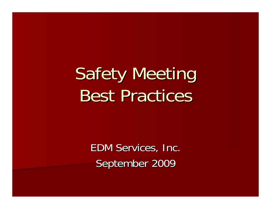# **Safety Meeting Best Practices**

EDM Services, Inc. September 2009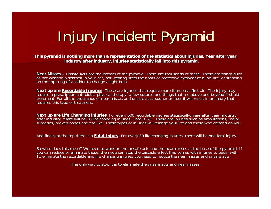# Injury Incident Pyramid

#### **This pyramid is nothing more than a representation of the statistics about injuries. Year after year, industry after industry, injuries industry after industry, injuries statistically fall into this pyramid. statistically fall into this pyramid.**

<u>Near Misses</u> – Unsafe Acts are the bottom of the pyramid. There are thousands of these. These are things such as not wearing a seatbelt in your car, not wearing stéel toe boots or protective eyewear at a job site, or standing<br>on the top rung of a ladder to change a light bulb.

Next up are Recordable Injuries. These are injuries that require more than basic first aid. The injury may require a prescription anti-biotic, physical therapy, a few sutures and things that are above and beyond first aid

Next up are Life Changing injuries. For every 600 recordable injuries statistically, year after year, industry<br>after industry, there will be 30 life changing injuries. That is 5%. These are injuries such as amputations, ma

And finally at the top there is a Fatal Injury. For every 30 life changing injuries, there will be one fatal injury.

So what does this mean? We need to work on the unsafe acts and the near misses at the base of the pyramid. If<br>you can reduce or eliminate those, then you can stop the cascade effect that comes with injuries to begin with To eliminate the recordable and life changing injuries you need to reduce the near misses and unsafe acts.

The only way to stop it is to eliminate the unsafe acts and near misses.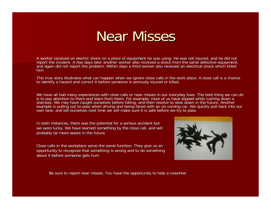### Near Misses

A worker received an electric shock on a piece of equipment he was using. He was not injured, and he did not report the incident. A few days later another worker also received a shock from the same defective equipment, and again did not report the problem. Within days a third worker also received an electrical shock which killed<br>him.

This true story illustrates what can happen when we ignore close calls in the work place. A close call is a chance<br>to identify a hazard and correct it before someone is seriously injured or killed.

We have all had many experiences with close calls or near misses in our everyday lives. The best thing we can do<br>is to pay attention to them and learn from them. For example, most of us have slipped while rushing down a stairway. We may have caught ourselves before falling, and then resolve to slow down in the future. Another example is pulling out to pass when driving and being faced with an on-coming car. We quickly pull back into our<br>own lane, and tell ourselves next time we will make sure it is safe before we try to pass.

In both instances, there was the potential for a serious accident but we were lucky. We have learned something by the close call, and will probably be more aware in the future.

Close calls in the workplace serve the same function. They give us an opportunity to recognize that something is wrong and to do something about it before someone gets hurt.



Be sure to report near misses. You have the opportunity to help a coworker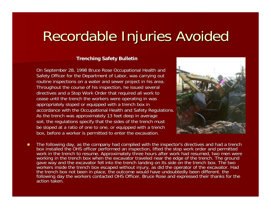# Recordable Injuries Avoided

#### **Trenching Safety Bulletin**

On September 28, 1998 Bruce Rose Occupational Health and Safety Officer for the Department of Labor, was carrying out routine inspections on a water and sewer project in his area. Throughout the course of his inspection, he issued several directives and a Stop Work Order that required all work to cease until the trench the workers were operating in was appropriately sloped or equipped with a trench box in accordance with the Occupational Health and Safety Regulations. As the trench was approximately 13 feet deep in average soil, the regulations specify that the sides of the trench must be sloped at a ratio of one to one, or equipped with a trench box, before a worker is permitted to enter the excavation.



П The following day, as the company had complied with the inspector's directives and had a trench<br>box installed the OHS officer performed an inspection, lifted the stop work order and permitted<br>work in the trench to resume.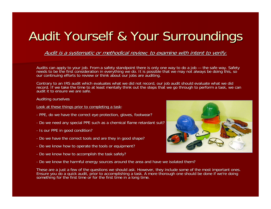### Audit Yourself & Your Surroundings

Audit is a systematic or methodical review; to examine with intent to verify.

Audits can apply to your job. From a safety standpoint there is only one way to do a job — the safe way. Safety needs to be the first consideration in everything we do. It is possible that we may not always be doing this, so<br>our continuing efforts to review or think about our jobs are auditing.

Contrary to an IRS audit which evaluates what we did not record, our job audit should evaluate what we did<br>record. If we take the time to at least mentally think out the steps that we go through to perform a task, we can audit it to ensure we are safe.

Auditing ourselves Auditing ourselves

Look at these things prior to completing a task:

- PPE, do we have the correct eye protection, gloves, footwear?
- Do we need any special PPE such as a chemical flame retardant suit?
- Is our PPE in good condition?
- Do we have the correct tools and are they in good shape?
- Do we know how to operate the tools or equipment?
- Do we know how to accomplish the task safely?
- Do we know the harmful energy sources around the area and have we isolated them?

These are a just a few of the questions we should ask. However, they include some of the most important ones.<br>Ensure you do a quick audit, prior to accomplishing a task. A more thorough one should be done if we're doing something for the first time or for the first time in a long time.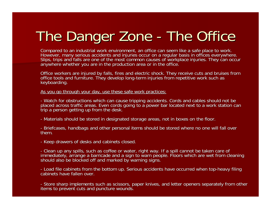### The Danger Zone -- The Office

Compared to an industrial work environment, an office can seem like a safe place to work.<br>However, many serious accidents and injuries occur on a regular basis in offices everywhere.<br>Slips, trips and falls are one of the m

Office workers are injured by falls, fires and electric shock. They receive cuts and bruises from office tools and furniture. They develop long-term injuries from repetitive work such as keyboarding.

As you go through your day, use these safe work practices:

- Watch for obstructions which can cause tripping accidents. Cords and cables should not be placed across traffic areas. Even cords going to a power bar located next to a work station can<br>trip a person getting up from the desk.

- Materials should be stored in designated storage areas, not in boxes on the floor.

- Briefcases, handbags and other personal items should be stored where no one will fall over<br>them.

- Keep drawers of desks and cabinets closed.

- Clean up any spills, such as coffee or water, right way. If a spill cannot be taken care of immediately, arrange a barricade and a sign to warn people. Floors which are wet from cleaning should also be blocked off and marked by warning signs.

- Load file cabinets from the bottom up. Serious accidents have occurred when top-heavy filing<br>cabinets have fallen over. cabinets have fallen over.

- Store sharp implements such as scissors, paper knives, and letter openers separately from other<br>items to prevent cuts and puncture wounds.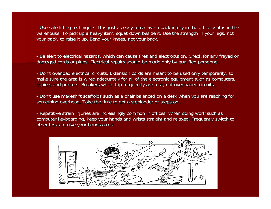- Use safe lifting techniques. It is just as easy to receive a back injury in the office as it is in the warehouse. To pick up a heavy item, squat down beside it. Use the strength in your legs, not your back, to raise it up. Bend your knees, not your back.

- Be alert to electrical hazards, which can cause fires and electrocution. Check for any frayed or damaged cords or plugs. Electrical repairs should be made only by qualified personnel.

- Don't overload electrical circuits. Extension cords are meant to be used only temporarily, so make sure the area is wired adequately for all of the electronic equipment such as computers, copiers and printers. Breakers which trip frequently are a sign of overloaded circuits.

- Don't use makeshift scaffolds such as a chair balanced on a desk when you are reaching for something overhead. Take the time to get a stepladder or stepstool.

- Repetitive strain injuries are increasingly common in offices. When doing work such as computer keyboarding, keep your hands and wrists straight and relaxed. Frequently switch to other tasks to give your hands a rest.